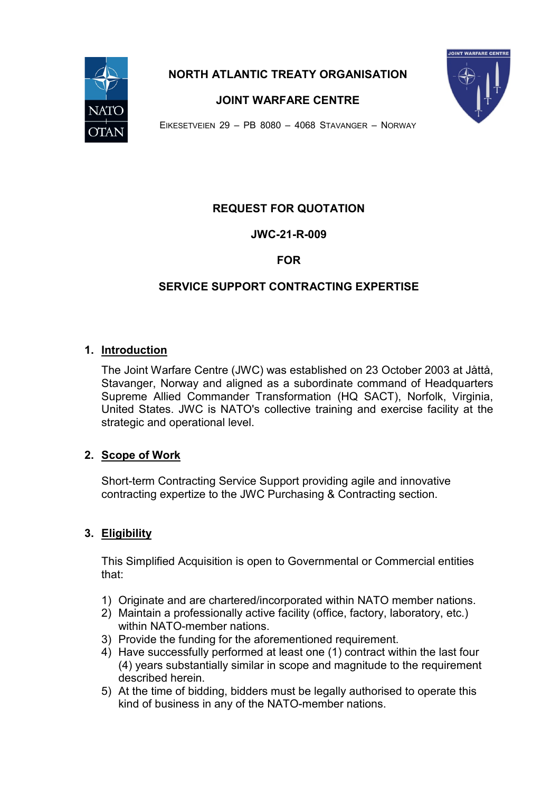

**NORTH ATLANTIC TREATY ORGANISATION**



**JOINT WARFARE CENTRE**

EIKESETVEIEN 29 – PB 8080 – 4068 STAVANGER – NORWAY

# **REQUEST FOR QUOTATION**

**JWC-21-R-009**

## **FOR**

# **SERVICE SUPPORT CONTRACTING EXPERTISE**

## **1. Introduction**

The Joint Warfare Centre (JWC) was established on 23 October 2003 at Jåttå, Stavanger, Norway and aligned as a subordinate command of Headquarters Supreme Allied Commander Transformation (HQ SACT), Norfolk, Virginia, United States. JWC is NATO's collective training and exercise facility at the strategic and operational level.

## **2. Scope of Work**

Short-term Contracting Service Support providing agile and innovative contracting expertize to the JWC Purchasing & Contracting section.

# **3. Eligibility**

This Simplified Acquisition is open to Governmental or Commercial entities that:

- 1) Originate and are chartered/incorporated within NATO member nations.
- 2) Maintain a professionally active facility (office, factory, laboratory, etc.) within NATO-member nations.
- 3) Provide the funding for the aforementioned requirement.
- 4) Have successfully performed at least one (1) contract within the last four (4) years substantially similar in scope and magnitude to the requirement described herein.
- 5) At the time of bidding, bidders must be legally authorised to operate this kind of business in any of the NATO-member nations.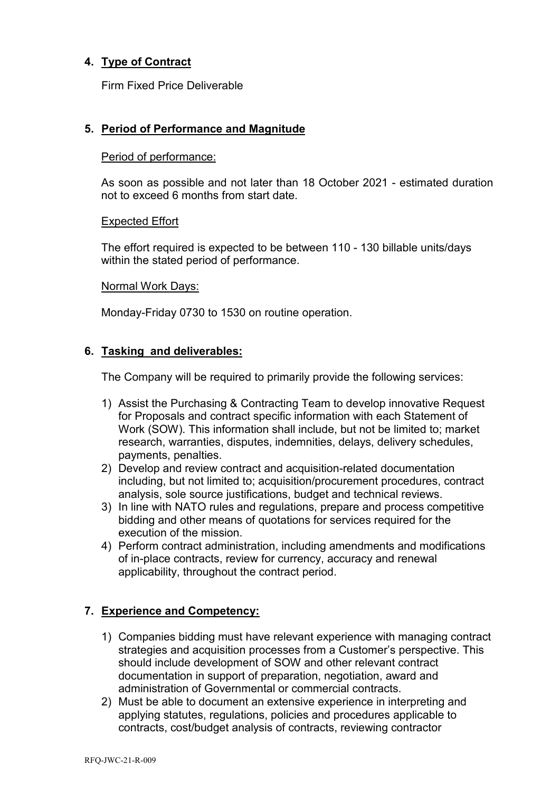# **4. Type of Contract**

Firm Fixed Price Deliverable

## **5. Period of Performance and Magnitude**

#### Period of performance:

As soon as possible and not later than 18 October 2021 - estimated duration not to exceed 6 months from start date.

#### Expected Effort

The effort required is expected to be between 110 - 130 billable units/days within the stated period of performance.

#### Normal Work Days:

Monday-Friday 0730 to 1530 on routine operation.

## **6. Tasking and deliverables:**

The Company will be required to primarily provide the following services:

- 1) Assist the Purchasing & Contracting Team to develop innovative Request for Proposals and contract specific information with each Statement of Work (SOW). This information shall include, but not be limited to; market research, warranties, disputes, indemnities, delays, delivery schedules, payments, penalties.
- 2) Develop and review contract and acquisition-related documentation including, but not limited to; acquisition/procurement procedures, contract analysis, sole source justifications, budget and technical reviews.
- 3) In line with NATO rules and regulations, prepare and process competitive bidding and other means of quotations for services required for the execution of the mission.
- 4) Perform contract administration, including amendments and modifications of in-place contracts, review for currency, accuracy and renewal applicability, throughout the contract period.

## <span id="page-1-0"></span>**7. Experience and Competency:**

- 1) Companies bidding must have relevant experience with managing contract strategies and acquisition processes from a Customer's perspective. This should include development of SOW and other relevant contract documentation in support of preparation, negotiation, award and administration of Governmental or commercial contracts.
- 2) Must be able to document an extensive experience in interpreting and applying statutes, regulations, policies and procedures applicable to contracts, cost/budget analysis of contracts, reviewing contractor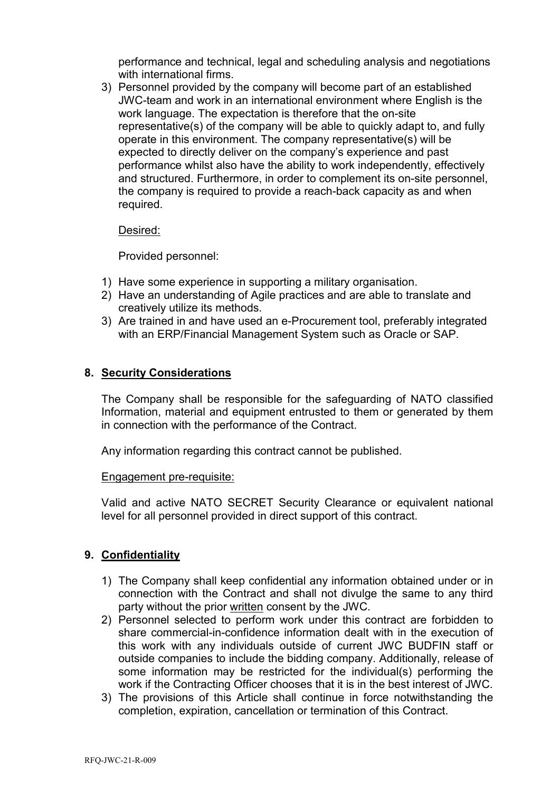performance and technical, legal and scheduling analysis and negotiations with international firms.

3) Personnel provided by the company will become part of an established JWC-team and work in an international environment where English is the work language. The expectation is therefore that the on-site representative(s) of the company will be able to quickly adapt to, and fully operate in this environment. The company representative(s) will be expected to directly deliver on the company's experience and past performance whilst also have the ability to work independently, effectively and structured. Furthermore, in order to complement its on-site personnel, the company is required to provide a reach-back capacity as and when required.

#### Desired:

Provided personnel:

- 1) Have some experience in supporting a military organisation.
- 2) Have an understanding of Agile practices and are able to translate and creatively utilize its methods.
- 3) Are trained in and have used an e-Procurement tool, preferably integrated with an ERP/Financial Management System such as Oracle or SAP.

## **8. Security Considerations**

The Company shall be responsible for the safeguarding of NATO classified Information, material and equipment entrusted to them or generated by them in connection with the performance of the Contract.

Any information regarding this contract cannot be published.

#### Engagement pre-requisite:

Valid and active NATO SECRET Security Clearance or equivalent national level for all personnel provided in direct support of this contract.

## **9. Confidentiality**

- 1) The Company shall keep confidential any information obtained under or in connection with the Contract and shall not divulge the same to any third party without the prior written consent by the JWC.
- 2) Personnel selected to perform work under this contract are forbidden to share commercial-in-confidence information dealt with in the execution of this work with any individuals outside of current JWC BUDFIN staff or outside companies to include the bidding company. Additionally, release of some information may be restricted for the individual(s) performing the work if the Contracting Officer chooses that it is in the best interest of JWC.
- 3) The provisions of this Article shall continue in force notwithstanding the completion, expiration, cancellation or termination of this Contract.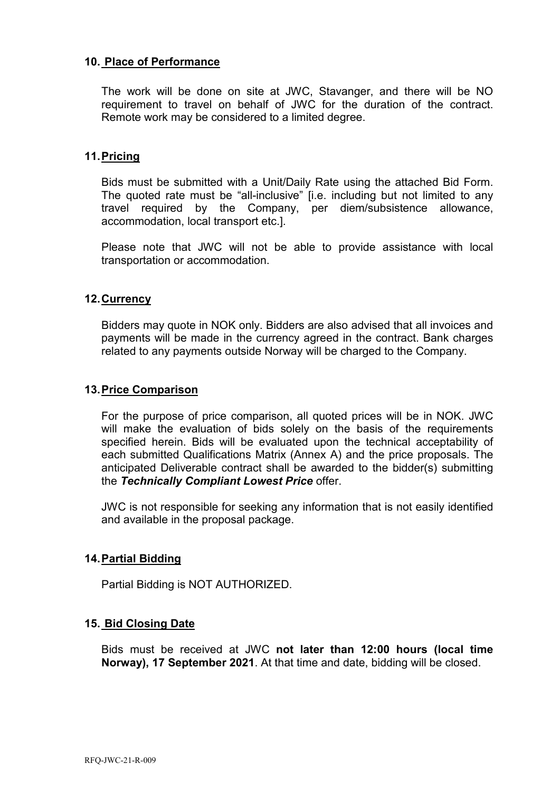## **10. Place of Performance**

The work will be done on site at JWC, Stavanger, and there will be NO requirement to travel on behalf of JWC for the duration of the contract. Remote work may be considered to a limited degree.

## **11.Pricing**

Bids must be submitted with a Unit/Daily Rate using the attached Bid Form. The quoted rate must be "all-inclusive" [i.e. including but not limited to any travel required by the Company, per diem/subsistence allowance, accommodation, local transport etc.].

Please note that JWC will not be able to provide assistance with local transportation or accommodation.

## **12.Currency**

Bidders may quote in NOK only. Bidders are also advised that all invoices and payments will be made in the currency agreed in the contract. Bank charges related to any payments outside Norway will be charged to the Company.

## **13.Price Comparison**

For the purpose of price comparison, all quoted prices will be in NOK. JWC will make the evaluation of bids solely on the basis of the requirements specified herein. Bids will be evaluated upon the technical acceptability of each submitted Qualifications Matrix (Annex A) and the price proposals. The anticipated Deliverable contract shall be awarded to the bidder(s) submitting the *Technically Compliant Lowest Price* offer.

JWC is not responsible for seeking any information that is not easily identified and available in the proposal package.

# **14.Partial Bidding**

Partial Bidding is NOT AUTHORIZED.

## **15. Bid Closing Date**

Bids must be received at JWC **not later than 12:00 hours (local time Norway), 17 September 2021**. At that time and date, bidding will be closed.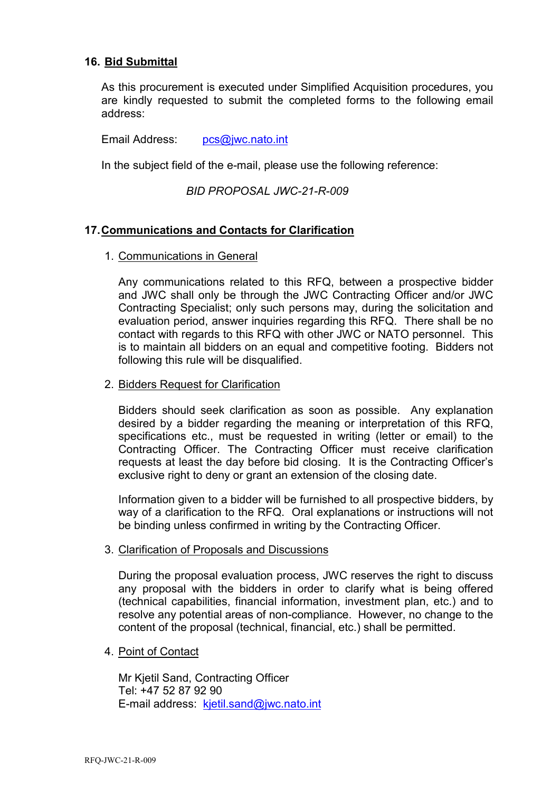## **16. Bid Submittal**

As this procurement is executed under Simplified Acquisition procedures, you are kindly requested to submit the completed forms to the following email address:

Email Address: [pcs@jwc.nato.int](mailto:pcs@jwc.nato.int)

In the subject field of the e-mail, please use the following reference:

## *BID PROPOSAL JWC-21-R-009*

## **17.Communications and Contacts for Clarification**

#### 1. Communications in General

Any communications related to this RFQ, between a prospective bidder and JWC shall only be through the JWC Contracting Officer and/or JWC Contracting Specialist; only such persons may, during the solicitation and evaluation period, answer inquiries regarding this RFQ. There shall be no contact with regards to this RFQ with other JWC or NATO personnel. This is to maintain all bidders on an equal and competitive footing. Bidders not following this rule will be disqualified.

#### 2. Bidders Request for Clarification

Bidders should seek clarification as soon as possible. Any explanation desired by a bidder regarding the meaning or interpretation of this RFQ, specifications etc., must be requested in writing (letter or email) to the Contracting Officer. The Contracting Officer must receive clarification requests at least the day before bid closing. It is the Contracting Officer's exclusive right to deny or grant an extension of the closing date.

Information given to a bidder will be furnished to all prospective bidders, by way of a clarification to the RFQ. Oral explanations or instructions will not be binding unless confirmed in writing by the Contracting Officer.

#### 3. Clarification of Proposals and Discussions

During the proposal evaluation process, JWC reserves the right to discuss any proposal with the bidders in order to clarify what is being offered (technical capabilities, financial information, investment plan, etc.) and to resolve any potential areas of non-compliance. However, no change to the content of the proposal (technical, financial, etc.) shall be permitted.

#### 4. Point of Contact

Mr Kjetil Sand, Contracting Officer Tel: +47 52 87 92 90 E-mail address: [kjetil.sand@jwc.nato.int](mailto:kjetil.sand@jwc.nato.int)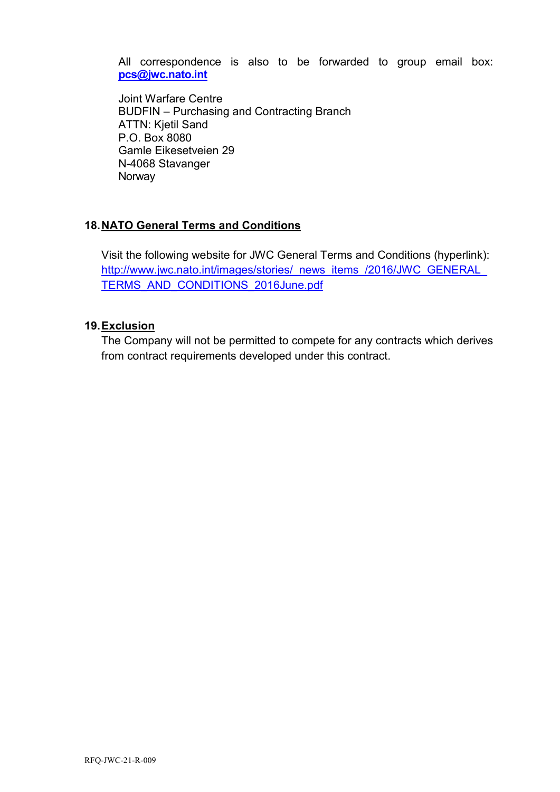All correspondence is also to be forwarded to group email box: **[pcs@jwc.nato.int](mailto:pcs@jwc.nato.int)**

Joint Warfare Centre BUDFIN – Purchasing and Contracting Branch ATTN: Kjetil Sand P.O. Box 8080 Gamle Eikesetveien 29 N-4068 Stavanger Norway

# **18.NATO General Terms and Conditions**

Visit the following website for JWC General Terms and Conditions (hyperlink): http://www.jwc.nato.int/images/stories/\_news\_items\_/2016/JWC\_GENERAL [TERMS\\_AND\\_CONDITIONS\\_2016June.pdf](http://www.jwc.nato.int/images/stories/_news_items_/2016/JWC_GENERAL_TERMS_AND_CONDITIONS_2016June.pdf)

# **19.Exclusion**

The Company will not be permitted to compete for any contracts which derives from contract requirements developed under this contract.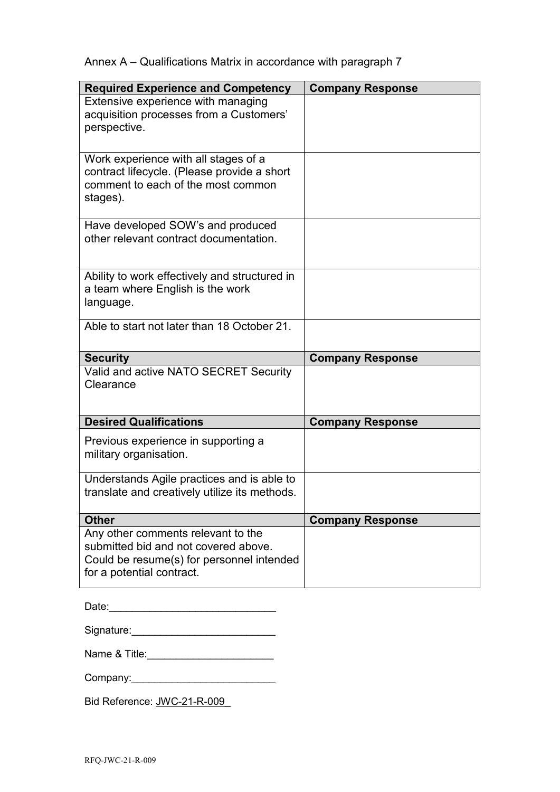|  | Annex A – Qualifications Matrix in accordance with paragraph 7 |  |  |  |  |  |
|--|----------------------------------------------------------------|--|--|--|--|--|
|--|----------------------------------------------------------------|--|--|--|--|--|

| <b>Required Experience and Competency</b>                                                                                             | <b>Company Response</b> |
|---------------------------------------------------------------------------------------------------------------------------------------|-------------------------|
| Extensive experience with managing<br>acquisition processes from a Customers'<br>perspective.                                         |                         |
|                                                                                                                                       |                         |
| Work experience with all stages of a<br>contract lifecycle. (Please provide a short<br>comment to each of the most common<br>stages). |                         |
| Have developed SOW's and produced<br>other relevant contract documentation.                                                           |                         |
| Ability to work effectively and structured in<br>a team where English is the work<br>language.                                        |                         |
| Able to start not later than 18 October 21.                                                                                           |                         |
| <b>Security</b>                                                                                                                       | <b>Company Response</b> |
| Valid and active NATO SECRET Security<br>Clearance                                                                                    |                         |
| <b>Desired Qualifications</b>                                                                                                         | <b>Company Response</b> |
| Previous experience in supporting a<br>military organisation.                                                                         |                         |
|                                                                                                                                       |                         |
| Understands Agile practices and is able to<br>translate and creatively utilize its methods.                                           |                         |
| <b>Other</b><br>Any other comments relevant to the                                                                                    | <b>Company Response</b> |

| Date: |  |  |  |  |
|-------|--|--|--|--|
|       |  |  |  |  |

| Signature: |  |
|------------|--|
|            |  |
|            |  |

| Name & Title: |  |
|---------------|--|
|               |  |

| Company: |  |  |
|----------|--|--|
|          |  |  |

Bid Reference: JWC-21-R-009\_